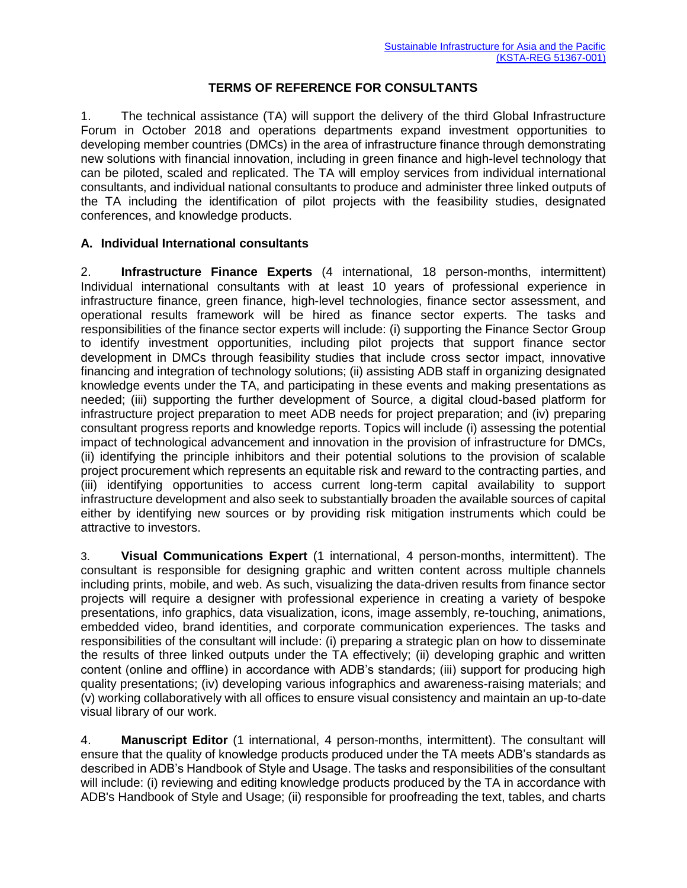## **TERMS OF REFERENCE FOR CONSULTANTS**

1. The technical assistance (TA) will support the delivery of the third Global Infrastructure Forum in October 2018 and operations departments expand investment opportunities to developing member countries (DMCs) in the area of infrastructure finance through demonstrating new solutions with financial innovation, including in green finance and high-level technology that can be piloted, scaled and replicated. The TA will employ services from individual international consultants, and individual national consultants to produce and administer three linked outputs of the TA including the identification of pilot projects with the feasibility studies, designated conferences, and knowledge products.

## **A. Individual International consultants**

2. **Infrastructure Finance Experts** (4 international, 18 person-months, intermittent) Individual international consultants with at least 10 years of professional experience in infrastructure finance, green finance, high-level technologies, finance sector assessment, and operational results framework will be hired as finance sector experts. The tasks and responsibilities of the finance sector experts will include: (i) supporting the Finance Sector Group to identify investment opportunities, including pilot projects that support finance sector development in DMCs through feasibility studies that include cross sector impact, innovative financing and integration of technology solutions; (ii) assisting ADB staff in organizing designated knowledge events under the TA, and participating in these events and making presentations as needed; (iii) supporting the further development of Source, a digital cloud-based platform for infrastructure project preparation to meet ADB needs for project preparation; and (iv) preparing consultant progress reports and knowledge reports. Topics will include (i) assessing the potential impact of technological advancement and innovation in the provision of infrastructure for DMCs, (ii) identifying the principle inhibitors and their potential solutions to the provision of scalable project procurement which represents an equitable risk and reward to the contracting parties, and (iii) identifying opportunities to access current long-term capital availability to support infrastructure development and also seek to substantially broaden the available sources of capital either by identifying new sources or by providing risk mitigation instruments which could be attractive to investors.

3. **Visual Communications Expert** (1 international, 4 person-months, intermittent). The consultant is responsible for designing graphic and written content across multiple channels including prints, mobile, and web. As such, visualizing the data-driven results from finance sector projects will require a designer with professional experience in creating a variety of bespoke presentations, info graphics, data visualization, icons, image assembly, re-touching, animations, embedded video, brand identities, and corporate communication experiences. The tasks and responsibilities of the consultant will include: (i) preparing a strategic plan on how to disseminate the results of three linked outputs under the TA effectively; (ii) developing graphic and written content (online and offline) in accordance with ADB's standards; (iii) support for producing high quality presentations; (iv) developing various infographics and awareness-raising materials; and (v) working collaboratively with all offices to ensure visual consistency and maintain an up-to-date visual library of our work.

4. **Manuscript Editor** (1 international, 4 person-months, intermittent). The consultant will ensure that the quality of knowledge products produced under the TA meets ADB's standards as described in ADB's Handbook of Style and Usage. The tasks and responsibilities of the consultant will include: (i) reviewing and editing knowledge products produced by the TA in accordance with ADB's Handbook of Style and Usage; (ii) responsible for proofreading the text, tables, and charts